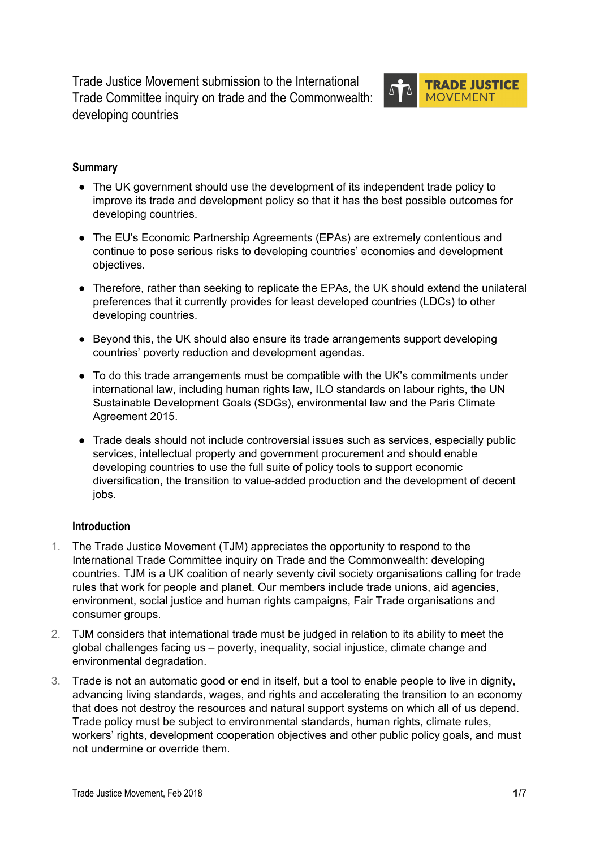Trade Justice Movement submission to the International Trade Committee inquiry on trade and the [Commonwealth:](http://www.parliament.uk/business/committees/committees-a-z/commons-select/international-trade-committee/inquiries/parliament-2017/trade-and-the-commonwealth-developing-countries-17-19/) [developing](http://www.parliament.uk/business/committees/committees-a-z/commons-select/international-trade-committee/inquiries/parliament-2017/trade-and-the-commonwealth-developing-countries-17-19/) countries



# **Summary**

- The UK government should use the development of its independent trade policy to improve its trade and development policy so that it has the best possible outcomes for developing countries.
- The EU's Economic Partnership Agreements (EPAs) are extremely contentious and continue to pose serious risks to developing countries' economies and development objectives.
- Therefore, rather than seeking to replicate the EPAs, the UK should extend the unilateral preferences that it currently provides for least developed countries (LDCs) to other developing countries.
- Beyond this, the UK should also ensure its trade arrangements support developing countries' poverty reduction and development agendas.
- To do this trade arrangements must be compatible with the UK's commitments under international law, including human rights law, ILO standards on labour rights, the UN Sustainable Development Goals (SDGs), environmental law and the Paris Climate Agreement 2015.
- Trade deals should not include controversial issues such as services, especially public services, intellectual property and government procurement and should enable developing countries to use the full suite of policy tools to support economic diversification, the transition to value-added production and the development of decent jobs.

# **Introduction**

- 1. The Trade Justice Movement (TJM) appreciates the opportunity to respond to the International Trade Committee inquiry on Trade and the Commonwealth: developing countries. TJM is a UK coalition of nearly seventy civil society organisations calling for trade rules that work for people and planet. Our members include trade unions, aid agencies, environment, social justice and human rights campaigns, Fair Trade organisations and consumer groups.
- 2. TJM considers that international trade must be judged in relation to its ability to meet the global challenges facing us – poverty, inequality, social injustice, climate change and environmental degradation.
- 3. Trade is not an automatic good or end in itself, but a tool to enable people to live in dignity, advancing living standards, wages, and rights and accelerating the transition to an economy that does not destroy the resources and natural support systems on which all of us depend. Trade policy must be subject to environmental standards, human rights, climate rules, workers' rights, development cooperation objectives and other public policy goals, and must not undermine or override them.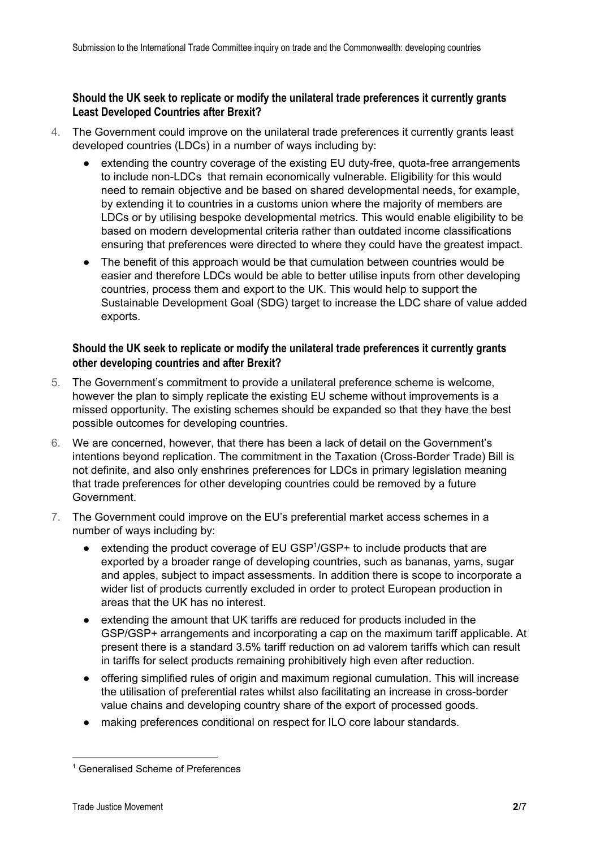# **Should the UK seek to replicate or modify the unilateral trade preferences it currently grants Least Developed Countries after Brexit?**

- 4. The Government could improve on the unilateral trade preferences it currently grants least developed countries (LDCs) in a number of ways including by:
	- extending the country coverage of the existing EU duty-free, quota-free arrangements to include non-LDCs that remain economically vulnerable. Eligibility for this would need to remain objective and be based on shared developmental needs, for example, by extending it to countries in a customs union where the majority of members are LDCs or by utilising bespoke developmental metrics. This would enable eligibility to be based on modern developmental criteria rather than outdated income classifications ensuring that preferences were directed to where they could have the greatest impact.
	- The benefit of this approach would be that cumulation between countries would be easier and therefore LDCs would be able to better utilise inputs from other developing countries, process them and export to the UK. This would help to support the Sustainable Development Goal (SDG) target to increase the LDC share of value added exports.

# **Should the UK seek to replicate or modify the unilateral trade preferences it currently grants other developing countries and after Brexit?**

- 5. The Government's commitment to provide a unilateral preference scheme is welcome, however the plan to simply replicate the existing EU scheme without improvements is a missed opportunity. The existing schemes should be expanded so that they have the best possible outcomes for developing countries.
- 6. We are concerned, however, that there has been a lack of detail on the Government's intentions beyond replication. The commitment in the Taxation (Cross-Border Trade) Bill is not definite, and also only enshrines preferences for LDCs in primary legislation meaning that trade preferences for other developing countries could be removed by a future Government.
- 7. The Government could improve on the EU's preferential market access schemes in a number of ways including by:
	- extending the product coverage of EU GSP<sup>1</sup>/GSP+ to include products that are exported by a broader range of developing countries, such as bananas, yams, sugar and apples, subject to impact assessments. In addition there is scope to incorporate a wider list of products currently excluded in order to protect European production in areas that the UK has no interest.
	- extending the amount that UK tariffs are reduced for products included in the GSP/GSP+ arrangements and incorporating a cap on the maximum tariff applicable. At present there is a standard 3.5% tariff reduction on ad valorem tariffs which can result in tariffs for select products remaining prohibitively high even after reduction.
	- offering simplified rules of origin and maximum regional cumulation. This will increase the utilisation of preferential rates whilst also facilitating an increase in cross-border value chains and developing country share of the export of processed goods.
	- making preferences conditional on respect for ILO core labour standards.

<sup>&</sup>lt;sup>1</sup> Generalised Scheme of Preferences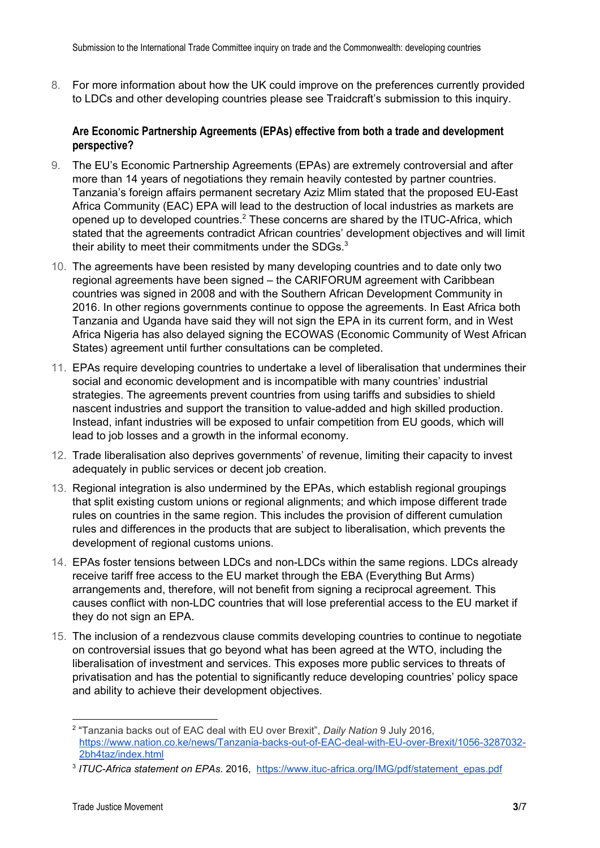8. For more information about how the UK could improve on the preferences currently provided to LDCs and other developing countries please see Traidcraft's submission to this inquiry.

### **Are Economic Partnership Agreements (EPAs) effective from both a trade and development perspective?**

- 9. The EU's Economic Partnership Agreements (EPAs) are extremely controversial and after more than 14 years of negotiations they remain heavily contested by partner countries. Tanzania's foreign affairs permanent secretary Aziz Mlim stated that the proposed EU-East Africa Community (EAC) EPA will lead to the destruction of local industries as markets are opened up to developed countries.<sup>2</sup> These concerns are shared by the ITUC-Africa, which stated that the agreements contradict African countries' development objectives and will limit their ability to meet their commitments under the SDGs. $3$
- 10. The agreements have been resisted by many developing countries and to date only two regional agreements have been signed – the CARIFORUM agreement with Caribbean countries was signed in 2008 and with the Southern African Development Community in 2016. In other regions governments continue to oppose the agreements. In East Africa both Tanzania and Uganda have said they will not sign the EPA in its current form, and in West Africa Nigeria has also delayed signing the ECOWAS (Economic Community of West African States) agreement until further consultations can be completed.
- 11. EPAs require developing countries to undertake a level of liberalisation that undermines their social and economic development and is incompatible with many countries' industrial strategies. The agreements prevent countries from using tariffs and subsidies to shield nascent industries and support the transition to value-added and high skilled production. Instead, infant industries will be exposed to unfair competition from EU goods, which will lead to job losses and a growth in the informal economy.
- 12. Trade liberalisation also deprives governments' of revenue, limiting their capacity to invest adequately in public services or decent job creation.
- 13. Regional integration is also undermined by the EPAs, which establish regional groupings that split existing custom unions or regional alignments; and which impose different trade rules on countries in the same region. This includes the provision of different cumulation rules and differences in the products that are subject to liberalisation, which prevents the development of regional customs unions.
- 14. EPAs foster tensions between LDCs and non-LDCs within the same regions. LDCs already receive tariff free access to the EU market through the EBA (Everything But Arms) arrangements and, therefore, will not benefit from signing a reciprocal agreement. This causes conflict with non-LDC countries that will lose preferential access to the EU market if they do not sign an EPA.
- 15. The inclusion of a rendezvous clause commits developing countries to continue to negotiate on controversial issues that go beyond what has been agreed at the WTO, including the liberalisation of investment and services. This exposes more public services to threats of privatisation and has the potential to significantly reduce developing countries' policy space and ability to achieve their development objectives.

<sup>2</sup> "Tanzania backs out of EAC deal with EU over Brexit", *Daily Nation* 9 July 2016, [https://www.nation.co.ke/news/Tanzania-backs-out-of-EAC-deal-with-EU-over-Brexit/1056-3287032-](https://www.nation.co.ke/news/Tanzania-backs-out-of-EAC-deal-with-EU-over-Brexit/1056-3287032-2bh4taz/index.html) [2bh4taz/index.html](https://www.nation.co.ke/news/Tanzania-backs-out-of-EAC-deal-with-EU-over-Brexit/1056-3287032-2bh4taz/index.html)

<sup>3</sup> *ITUC-Africa statement on EPAs*. 2016, [https://www.ituc-africa.org/IMG/pdf/statement\\_epas.pdf](https://www.ituc-africa.org/IMG/pdf/statement_epas.pdf)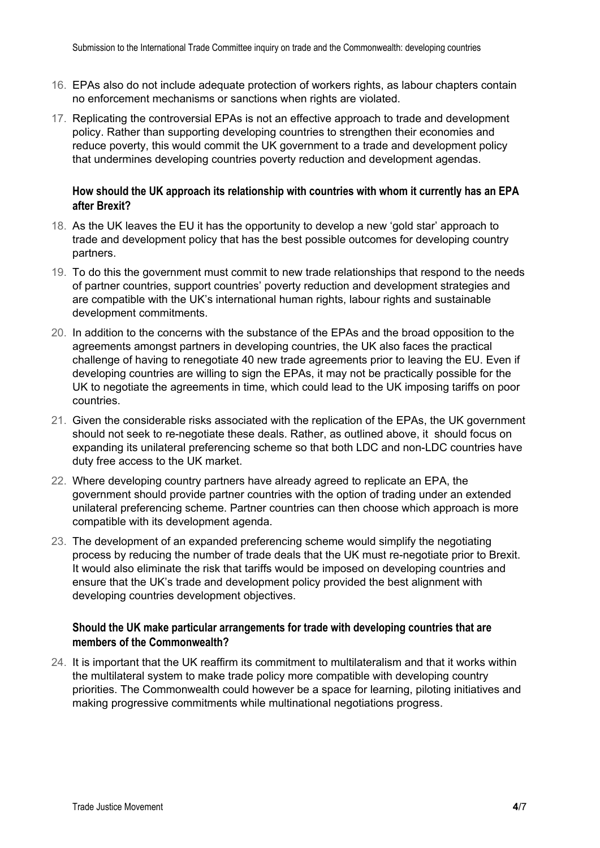- 16. EPAs also do not include adequate protection of workers rights, as labour chapters contain no enforcement mechanisms or sanctions when rights are violated.
- 17. Replicating the controversial EPAs is not an effective approach to trade and development policy. Rather than supporting developing countries to strengthen their economies and reduce poverty, this would commit the UK government to a trade and development policy that undermines developing countries poverty reduction and development agendas.

### **How should the UK approach its relationship with countries with whom it currently has an EPA after Brexit?**

- 18. As the UK leaves the EU it has the opportunity to develop a new 'gold star' approach to trade and development policy that has the best possible outcomes for developing country partners.
- 19. To do this the government must commit to new trade relationships that respond to the needs of partner countries, support countries' poverty reduction and development strategies and are compatible with the UK's international human rights, labour rights and sustainable development commitments.
- 20. In addition to the concerns with the substance of the EPAs and the broad opposition to the agreements amongst partners in developing countries, the UK also faces the practical challenge of having to renegotiate 40 new trade agreements prior to leaving the EU. Even if developing countries are willing to sign the EPAs, it may not be practically possible for the UK to negotiate the agreements in time, which could lead to the UK imposing tariffs on poor countries.
- 21. Given the considerable risks associated with the replication of the EPAs, the UK government should not seek to re-negotiate these deals. Rather, as outlined above, it should focus on expanding its unilateral preferencing scheme so that both LDC and non-LDC countries have duty free access to the UK market.
- 22. Where developing country partners have already agreed to replicate an EPA, the government should provide partner countries with the option of trading under an extended unilateral preferencing scheme. Partner countries can then choose which approach is more compatible with its development agenda.
- 23. The development of an expanded preferencing scheme would simplify the negotiating process by reducing the number of trade deals that the UK must re-negotiate prior to Brexit. It would also eliminate the risk that tariffs would be imposed on developing countries and ensure that the UK's trade and development policy provided the best alignment with developing countries development objectives.

### **Should the UK make particular arrangements for trade with developing countries that are members of the Commonwealth?**

24. It is important that the UK reaffirm its commitment to multilateralism and that it works within the multilateral system to make trade policy more compatible with developing country priorities. The Commonwealth could however be a space for learning, piloting initiatives and making progressive commitments while multinational negotiations progress.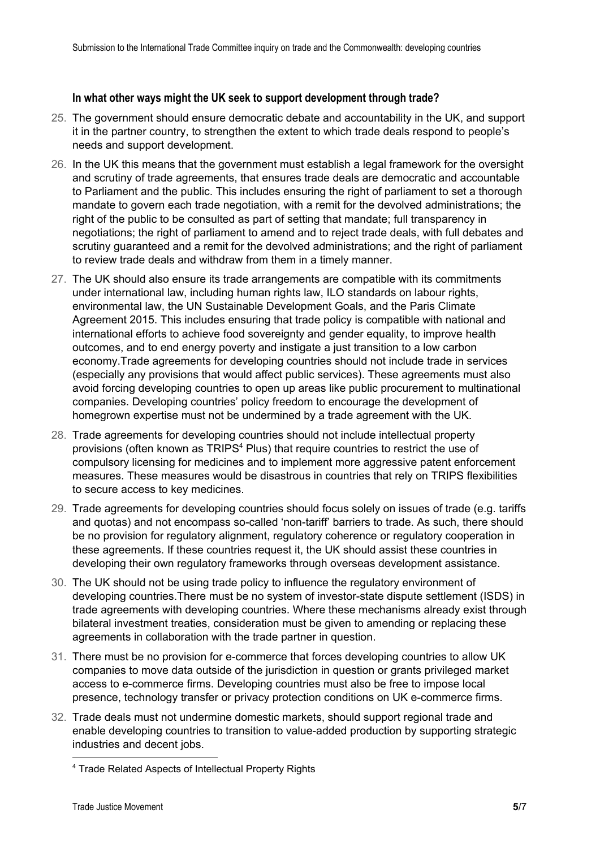#### **In what other ways might the UK seek to support development through trade?**

- 25. The government should ensure democratic debate and accountability in the UK, and support it in the partner country, to strengthen the extent to which trade deals respond to people's needs and support development.
- 26. In the UK this means that the government must establish a legal framework for the oversight and scrutiny of trade agreements, that ensures trade deals are democratic and accountable to Parliament and the public. This includes ensuring the right of parliament to set a thorough mandate to govern each trade negotiation, with a remit for the devolved administrations; the right of the public to be consulted as part of setting that mandate; full transparency in negotiations; the right of parliament to amend and to reject trade deals, with full debates and scrutiny guaranteed and a remit for the devolved administrations; and the right of parliament to review trade deals and withdraw from them in a timely manner.
- 27. The UK should also ensure its trade arrangements are compatible with its commitments under international law, including human rights law, ILO standards on labour rights, environmental law, the UN Sustainable Development Goals, and the Paris Climate Agreement 2015. This includes ensuring that trade policy is compatible with national and international efforts to achieve food sovereignty and gender equality, to improve health outcomes, and to end energy poverty and instigate a just transition to a low carbon economy.Trade agreements for developing countries should not include trade in services (especially any provisions that would affect public services). These agreements must also avoid forcing developing countries to open up areas like public procurement to multinational companies. Developing countries' policy freedom to encourage the development of homegrown expertise must not be undermined by a trade agreement with the UK.
- 28. Trade agreements for developing countries should not include intellectual property provisions (often known as TRIPS<sup>4</sup> Plus) that require countries to restrict the use of compulsory licensing for medicines and to implement more aggressive patent enforcement measures. These measures would be disastrous in countries that rely on TRIPS flexibilities to secure access to key medicines.
- 29. Trade agreements for developing countries should focus solely on issues of trade (e.g. tariffs and quotas) and not encompass so-called 'non-tariff' barriers to trade. As such, there should be no provision for regulatory alignment, regulatory coherence or regulatory cooperation in these agreements. If these countries request it, the UK should assist these countries in developing their own regulatory frameworks through overseas development assistance.
- 30. The UK should not be using trade policy to influence the regulatory environment of developing countries.There must be no system of investor-state dispute settlement (ISDS) in trade agreements with developing countries. Where these mechanisms already exist through bilateral investment treaties, consideration must be given to amending or replacing these agreements in collaboration with the trade partner in question.
- 31. There must be no provision for e-commerce that forces developing countries to allow UK companies to move data outside of the jurisdiction in question or grants privileged market access to e-commerce firms. Developing countries must also be free to impose local presence, technology transfer or privacy protection conditions on UK e-commerce firms.
- 32. Trade deals must not undermine domestic markets, should support regional trade and enable developing countries to transition to value-added production by supporting strategic industries and decent jobs.

<sup>4</sup> Trade Related Aspects of Intellectual Property Rights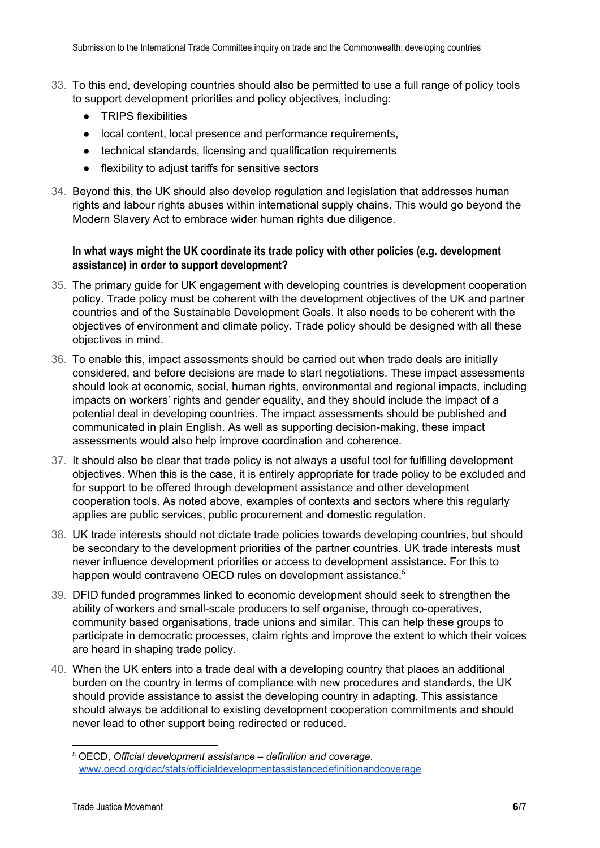- 33. To this end, developing countries should also be permitted to use a full range of policy tools to support development priorities and policy objectives, including:
	- TRIPS flexibilities
	- local content, local presence and performance requirements,
	- technical standards, licensing and qualification requirements
	- flexibility to adjust tariffs for sensitive sectors
- 34. Beyond this, the UK should also develop regulation and legislation that addresses human rights and labour rights abuses within international supply chains. This would go beyond the Modern Slavery Act to embrace wider human rights due diligence.

### **In what ways might the UK coordinate its trade policy with other policies (e.g. development assistance) in order to support development?**

- 35. The primary guide for UK engagement with developing countries is development cooperation policy. Trade policy must be coherent with the development objectives of the UK and partner countries and of the Sustainable Development Goals. It also needs to be coherent with the objectives of environment and climate policy. Trade policy should be designed with all these objectives in mind.
- 36. To enable this, impact assessments should be carried out when trade deals are initially considered, and before decisions are made to start negotiations. These impact assessments should look at economic, social, human rights, environmental and regional impacts, including impacts on workers' rights and gender equality, and they should include the impact of a potential deal in developing countries. The impact assessments should be published and communicated in plain English. As well as supporting decision-making, these impact assessments would also help improve coordination and coherence.
- 37. It should also be clear that trade policy is not always a useful tool for fulfilling development objectives. When this is the case, it is entirely appropriate for trade policy to be excluded and for support to be offered through development assistance and other development cooperation tools. As noted above, examples of contexts and sectors where this regularly applies are public services, public procurement and domestic regulation.
- 38. UK trade interests should not dictate trade policies towards developing countries, but should be secondary to the development priorities of the partner countries. UK trade interests must never influence development priorities or access to development assistance. For this to happen would contravene OECD rules on development assistance.<sup>5</sup>
- 39. DFID funded programmes linked to economic development should seek to strengthen the ability of workers and small-scale producers to self organise, through co-operatives, community based organisations, trade unions and similar. This can help these groups to participate in democratic processes, claim rights and improve the extent to which their voices are heard in shaping trade policy.
- 40. When the UK enters into a trade deal with a developing country that places an additional burden on the country in terms of compliance with new procedures and standards, the UK should provide assistance to assist the developing country in adapting. This assistance should always be additional to existing development cooperation commitments and should never lead to other support being redirected or reduced.

<sup>5</sup> OECD, *Official development assistance – definition and coverage*. [www.oecd.org/dac/stats/officialdevelopmentassistancedefinitionandcoverage](http://www.oecd.org/dac/stats/officialdevelopmentassistancedefinitionandcoverage.htm)